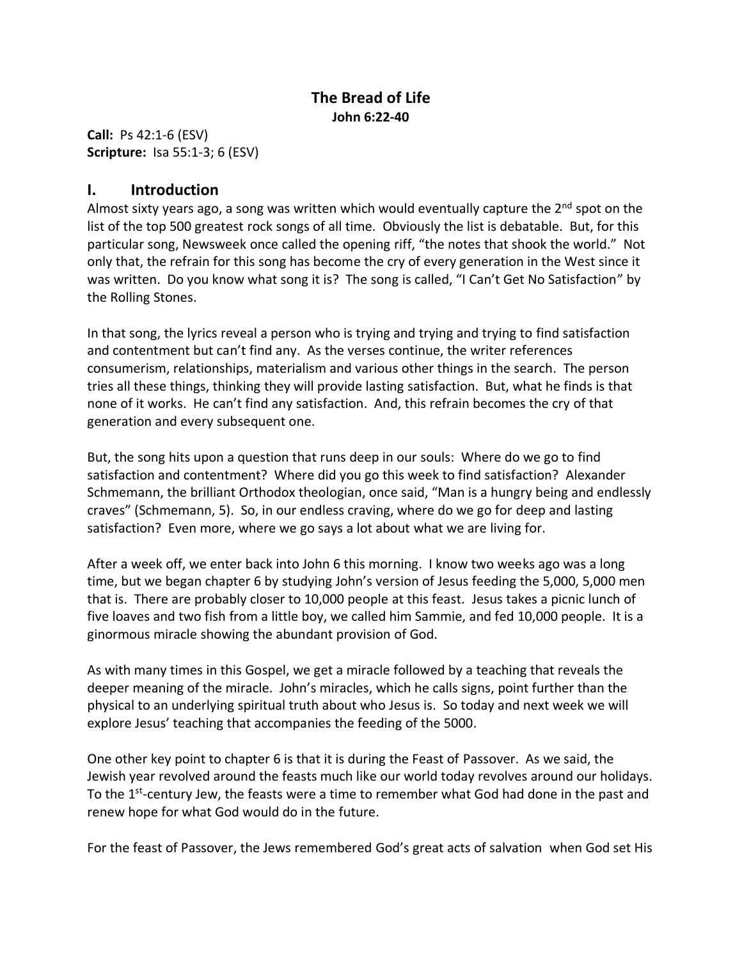## **The Bread of Life John 6:22-40**

**Call:** Ps 42:1-6 (ESV) **Scripture:** Isa 55:1-3; 6 (ESV)

## **I. Introduction**

Almost sixty years ago, a song was written which would eventually capture the  $2<sup>nd</sup>$  spot on the list of the top 500 greatest rock songs of all time. Obviously the list is debatable. But, for this particular song, Newsweek once called the opening riff, "the notes that shook the world." Not only that, the refrain for this song has become the cry of every generation in the West since it was written. Do you know what song it is? The song is called, "I Can't Get No Satisfaction" by the Rolling Stones.

In that song, the lyrics reveal a person who is trying and trying and trying to find satisfaction and contentment but can't find any. As the verses continue, the writer references consumerism, relationships, materialism and various other things in the search. The person tries all these things, thinking they will provide lasting satisfaction. But, what he finds is that none of it works. He can't find any satisfaction. And, this refrain becomes the cry of that generation and every subsequent one.

But, the song hits upon a question that runs deep in our souls: Where do we go to find satisfaction and contentment? Where did you go this week to find satisfaction? Alexander Schmemann, the brilliant Orthodox theologian, once said, "Man is a hungry being and endlessly craves" (Schmemann, 5). So, in our endless craving, where do we go for deep and lasting satisfaction? Even more, where we go says a lot about what we are living for.

After a week off, we enter back into John 6 this morning. I know two weeks ago was a long time, but we began chapter 6 by studying John's version of Jesus feeding the 5,000, 5,000 men that is. There are probably closer to 10,000 people at this feast. Jesus takes a picnic lunch of five loaves and two fish from a little boy, we called him Sammie, and fed 10,000 people. It is a ginormous miracle showing the abundant provision of God.

As with many times in this Gospel, we get a miracle followed by a teaching that reveals the deeper meaning of the miracle. John's miracles, which he calls signs, point further than the physical to an underlying spiritual truth about who Jesus is. So today and next week we will explore Jesus' teaching that accompanies the feeding of the 5000.

One other key point to chapter 6 is that it is during the Feast of Passover. As we said, the Jewish year revolved around the feasts much like our world today revolves around our holidays. To the 1<sup>st</sup>-century Jew, the feasts were a time to remember what God had done in the past and renew hope for what God would do in the future.

For the feast of Passover, the Jews remembered God's great acts of salvation when God set His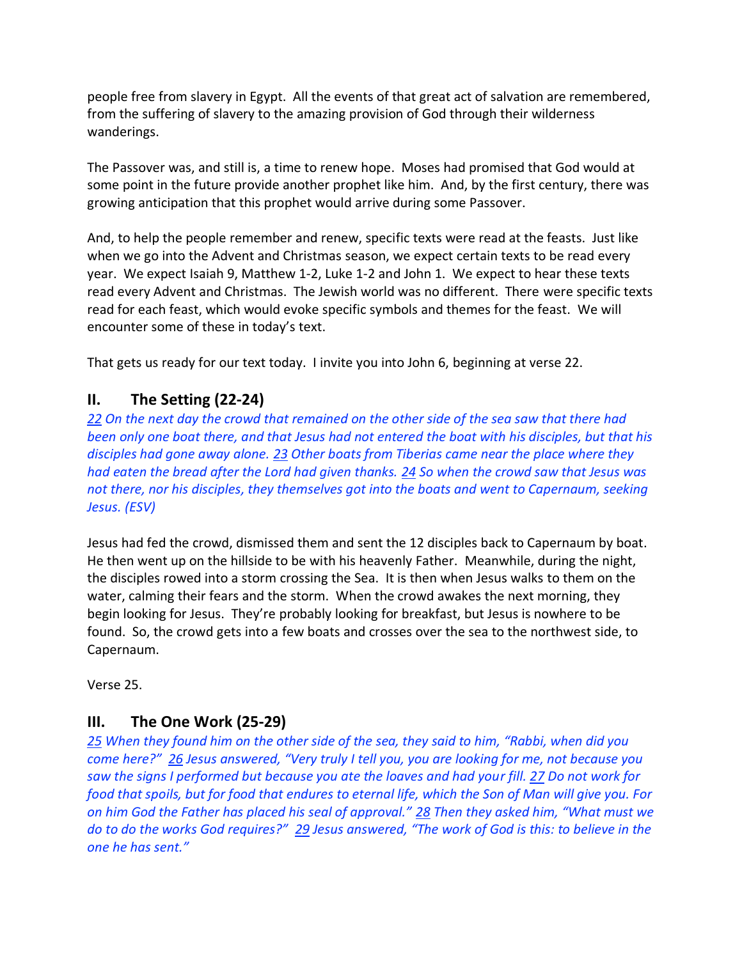people free from slavery in Egypt. All the events of that great act of salvation are remembered, from the suffering of slavery to the amazing provision of God through their wilderness wanderings.

The Passover was, and still is, a time to renew hope. Moses had promised that God would at some point in the future provide another prophet like him. And, by the first century, there was growing anticipation that this prophet would arrive during some Passover.

And, to help the people remember and renew, specific texts were read at the feasts. Just like when we go into the Advent and Christmas season, we expect certain texts to be read every year. We expect Isaiah 9, Matthew 1-2, Luke 1-2 and John 1. We expect to hear these texts read every Advent and Christmas. The Jewish world was no different. There were specific texts read for each feast, which would evoke specific symbols and themes for the feast. We will encounter some of these in today's text.

That gets us ready for our text today. I invite you into John 6, beginning at verse 22.

# **II. The Setting (22-24)**

*22 On the next day the crowd that remained on the other side of the sea saw that there had been only one boat there, and that Jesus had not entered the boat with his disciples, but that his disciples had gone away alone. 23 Other boats from Tiberias came near the place where they had eaten the bread after the Lord had given thanks. 24 So when the crowd saw that Jesus was not there, nor his disciples, they themselves got into the boats and went to Capernaum, seeking Jesus. (ESV)*

Jesus had fed the crowd, dismissed them and sent the 12 disciples back to Capernaum by boat. He then went up on the hillside to be with his heavenly Father. Meanwhile, during the night, the disciples rowed into a storm crossing the Sea. It is then when Jesus walks to them on the water, calming their fears and the storm. When the crowd awakes the next morning, they begin looking for Jesus. They're probably looking for breakfast, but Jesus is nowhere to be found. So, the crowd gets into a few boats and crosses over the sea to the northwest side, to Capernaum.

Verse 25.

## **III. The One Work (25-29)**

25 When they found him on the other side of the sea, they said to him, "Rabbi, when did you *come here?*<sup>*n*</sup> 26 *Jesus answered, "Very truly I tell you, you are looking for me, not because you saw the signs I performed but because you ate the loaves and had your fill. 27 Do not work for food that spoils, but for food that endures to eternal life, which the Son of Man will give you. For on him God the Father has placed his seal of approval." 28 Then they asked him, "What must we do to do the works God requires?"* 29 *Jesus answered, "The work of God is this: to believe in the* one he has sent."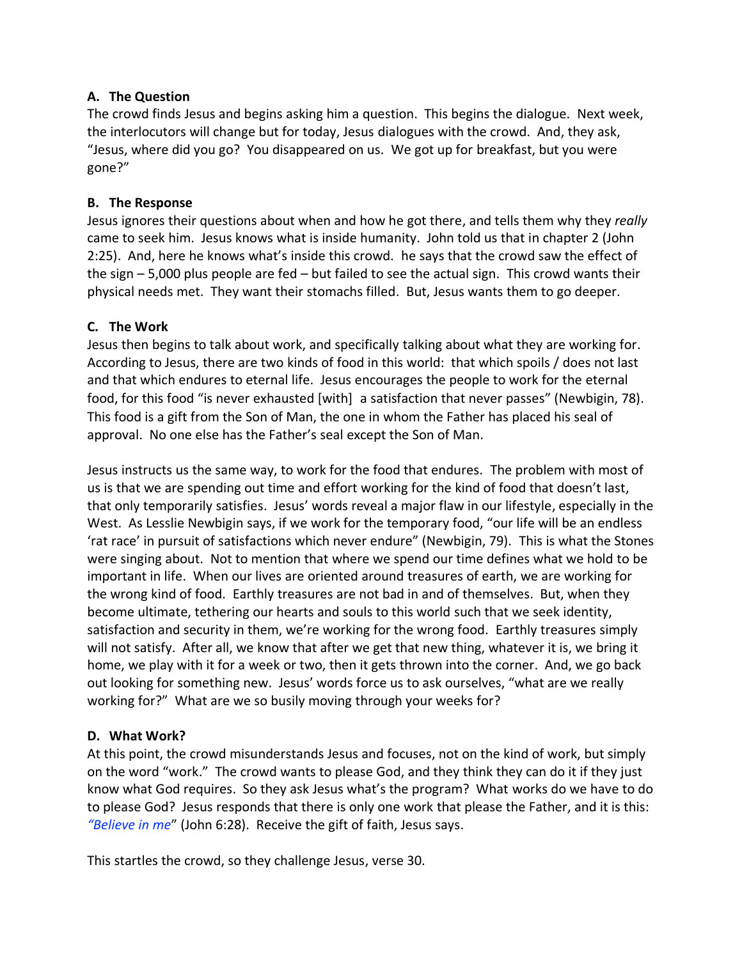#### **A. The Question**

The crowd finds Jesus and begins asking him a question. This begins the dialogue. Next week, the interlocutors will change but for today, Jesus dialogues with the crowd. And, they ask, "Jesus, where did you go? You disappeared on us. We got up for breakfast, but you were gone?"

#### **B. The Response**

Jesus ignores their questions about when and how he got there, and tells them why they *really* came to seek him. Jesus knows what is inside humanity. John told us that in chapter 2 (John 2:25). And, here he knows what's inside this crowd. he says that the crowd saw the effect of the sign  $-5,000$  plus people are fed  $-$  but failed to see the actual sign. This crowd wants their physical needs met. They want their stomachs filled. But, Jesus wants them to go deeper.

### **C. The Work**

Jesus then begins to talk about work, and specifically talking about what they are working for. According to Jesus, there are two kinds of food in this world: that which spoils / does not last and that which endures to eternal life. Jesus encourages the people to work for the eternal food, for this food "is never exhausted [with] a satisfaction that never passes" (Newbigin, 78). This food is a gift from the Son of Man, the one in whom the Father has placed his seal of approval. No one else has the Father's seal except the Son of Man.

Jesus instructs us the same way, to work for the food that endures. The problem with most of us is that we are spending out time and effort working for the kind of food that doesn't last, that only temporarily satisfies. Jesus' words reveal a major flaw in our lifestyle, especially in the West. As Lesslie Newbigin says, if we work for the temporary food, "our life will be an endless 'rat race' in pursuit of satisfactions which never endure" (Newbigin, 79). This is what the Stones were singing about. Not to mention that where we spend our time defines what we hold to be important in life. When our lives are oriented around treasures of earth, we are working for the wrong kind of food. Earthly treasures are not bad in and of themselves. But, when they become ultimate, tethering our hearts and souls to this world such that we seek identity, satisfaction and security in them, we're working for the wrong food. Earthly treasures simply will not satisfy. After all, we know that after we get that new thing, whatever it is, we bring it home, we play with it for a week or two, then it gets thrown into the corner. And, we go back out looking for something new. Jesus' words force us to ask ourselves, "what are we really working for?" What are we so busily moving through your weeks for?

## **D. What Work?**

At this point, the crowd misunderstands Jesus and focuses, not on the kind of work, but simply on the word "work." The crowd wants to please God, and they think they can do it if they just know what God requires. So they ask Jesus what's the program? What works do we have to do to please God? Jesus responds that there is only one work that please the Father, and it is this: *"Believe in me"* (John 6:28). Receive the gift of faith, Jesus says.

This startles the crowd, so they challenge Jesus, verse 30.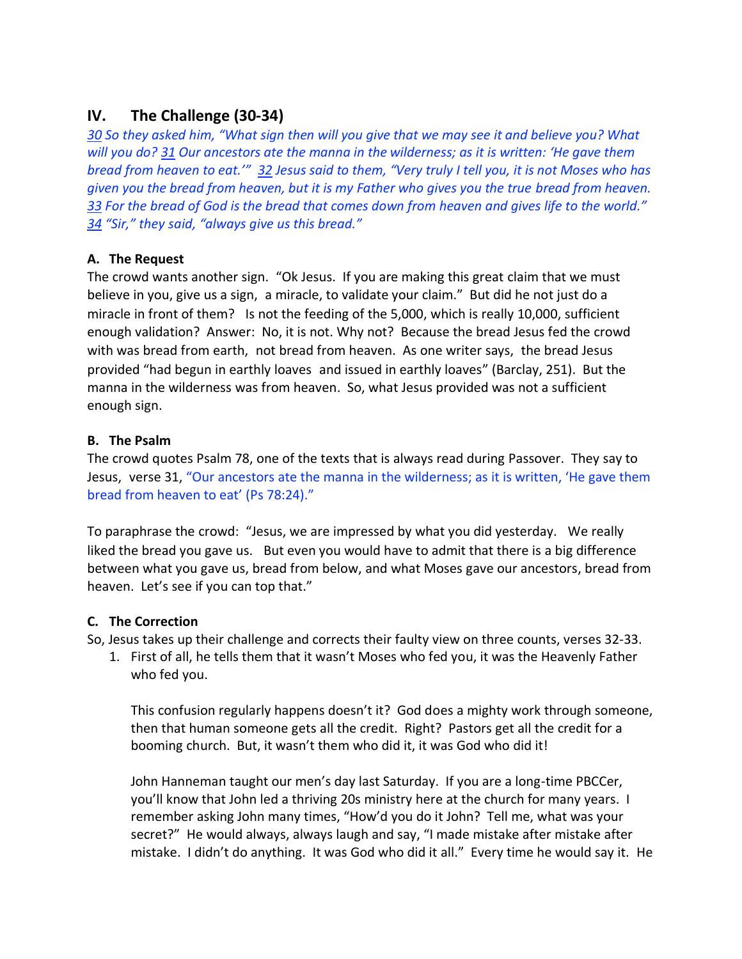## **IV. The Challenge (30-34)**

*30* So they asked him, "What sign then will you give that we may see it and believe you? What *will you do?* 31 *Our ancestors ate the manna in the wilderness; as it is written: 'He gave them bread from heaven to eat.'"* 32 Jesus said to them, "Very truly I tell you, it is not Moses who has *given you the bread from heaven, but it is my Father who gives you the true bread from heaven.*  33 For the bread of God is the bread that comes down from heaven and gives life to the world." *34* "Sir," they said, "always give us this bread."

### **A. The Request**

The crowd wants another sign. "Ok Jesus. If you are making this great claim that we must believe in you, give us a sign, a miracle, to validate your claim." But did he not just do a miracle in front of them? Is not the feeding of the 5,000, which is really 10,000, sufficient enough validation? Answer: No, it is not. Why not? Because the bread Jesus fed the crowd with was bread from earth, not bread from heaven. As one writer says, the bread Jesus provided "had begun in earthly loaves and issued in earthly loaves" (Barclay, 251). But the manna in the wilderness was from heaven. So, what Jesus provided was not a sufficient enough sign.

#### **B. The Psalm**

The crowd quotes Psalm 78, one of the texts that is always read during Passover. They say to Jesus, verse 31, "Our ancestors ate the manna in the wilderness; as it is written, 'He gave them bread from heaven to eat' (Ps 78:24)."

To paraphrase the crowd: "Jesus, we are impressed by what you did yesterday. We really liked the bread you gave us. But even you would have to admit that there is a big difference between what you gave us, bread from below, and what Moses gave our ancestors, bread from heaven. Let's see if you can top that."

#### **C. The Correction**

So, Jesus takes up their challenge and corrects their faulty view on three counts, verses 32-33.

1. First of all, he tells them that it wasn't Moses who fed you, it was the Heavenly Father who fed you.

This confusion regularly happens doesn't it? God does a mighty work through someone, then that human someone gets all the credit. Right? Pastors get all the credit for a booming church. But, it wasn't them who did it, it was God who did it!

John Hanneman taught our men's day last Saturday. If you are a long-time PBCCer, you'll know that John led a thriving 20s ministry here at the church for many years. I remember asking John many times, "How'd you do it John? Tell me, what was your secret?" He would always, always laugh and say, "I made mistake after mistake after mistake. I didn't do anything. It was God who did it all." Every time he would say it. He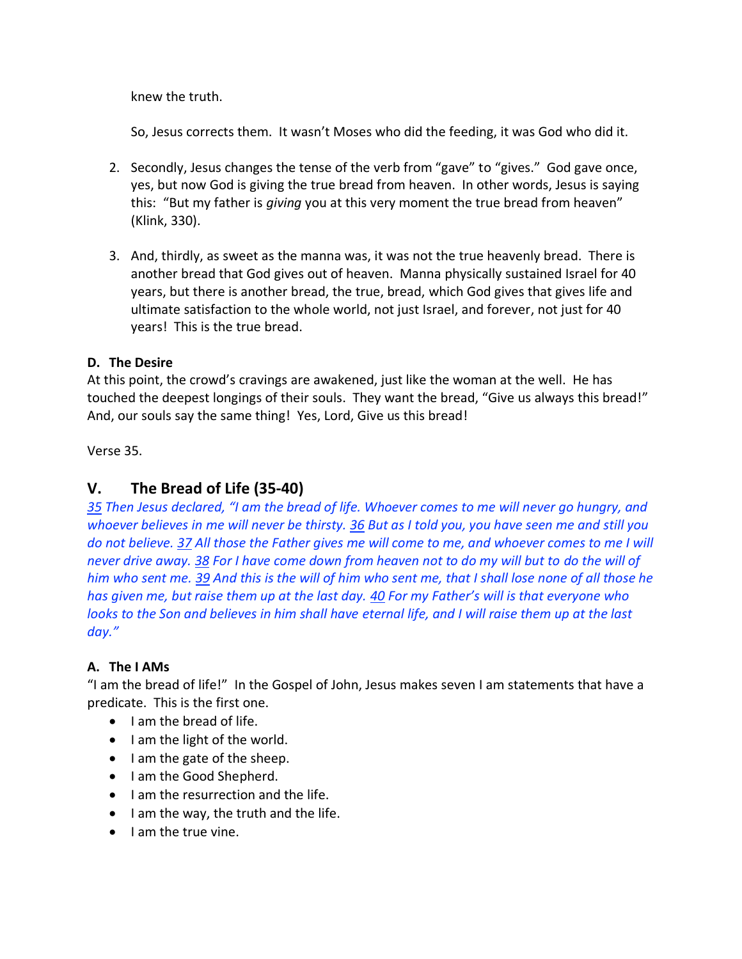knew the truth.

So, Jesus corrects them. It wasn't Moses who did the feeding, it was God who did it.

- 2. Secondly, Jesus changes the tense of the verb from "gave" to "gives." God gave once, yes, but now God is giving the true bread from heaven. In other words, Jesus is saying this: "But my father is *giving* you at this very moment the true bread from heaven" (Klink, 330).
- 3. And, thirdly, as sweet as the manna was, it was not the true heavenly bread. There is another bread that God gives out of heaven. Manna physically sustained Israel for 40 years, but there is another bread, the true, bread, which God gives that gives life and ultimate satisfaction to the whole world, not just Israel, and forever, not just for 40 years! This is the true bread.

## **D. The Desire**

At this point, the crowd's cravings are awakened, just like the woman at the well. He has touched the deepest longings of their souls. They want the bread, "Give us always this bread!" And, our souls say the same thing! Yes, Lord, Give us this bread!

Verse 35.

## **V. The Bread of Life (35-40)**

*35* Then Jesus declared, "I am the bread of life. Whoever comes to me will never go hungry, and *whoever believes in me will never be thirsty. 36 But as I told you, you have seen me and still you do not believe. 37 All those the Father gives me will come to me, and whoever comes to me I will never drive away. 38 For I have come down from heaven not to do my will but to do the will of him who sent me. 39 And this is the will of him who sent me, that I shall lose none of all those he has given me, but raise them up at the last day. 40 For my Father's will is that everyone who looks to the Son and believes in him shall have eternal life, and I will raise them up at the last*  day."

#### **A. The I AMs**

"I am the bread of life!" In the Gospel of John, Jesus makes seven I am statements that have a predicate. This is the first one.

- $\bullet$  I am the bread of life.
- $\bullet$  I am the light of the world.
- I am the gate of the sheep.
- I am the Good Shepherd.
- I am the resurrection and the life.
- $\bullet$  I am the way, the truth and the life.
- $\bullet$  I am the true vine.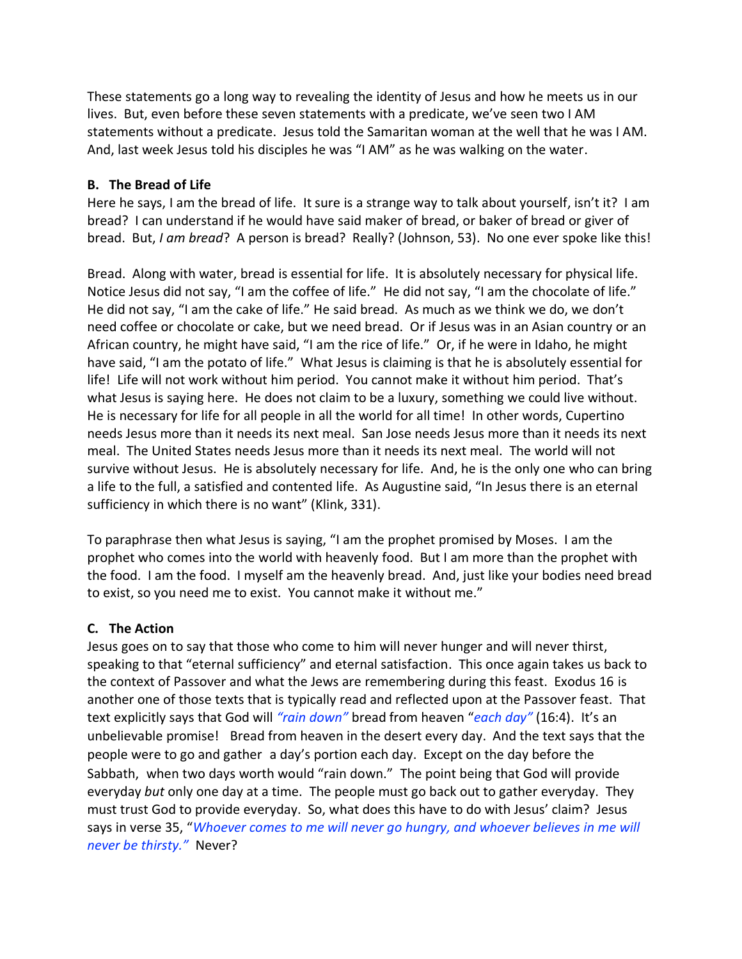These statements go a long way to revealing the identity of Jesus and how he meets us in our lives. But, even before these seven statements with a predicate, we've seen two I AM statements without a predicate. Jesus told the Samaritan woman at the well that he was I AM. And, last week Jesus told his disciples he was "I AM" as he was walking on the water.

#### **B. The Bread of Life**

Here he says, I am the bread of life. It sure is a strange way to talk about yourself, isn't it? I am bread? I can understand if he would have said maker of bread, or baker of bread or giver of bread. But, *I am bread*? A person is bread? Really? (Johnson, 53). No one ever spoke like this!

Bread. Along with water, bread is essential for life. It is absolutely necessary for physical life. Notice Jesus did not say, "I am the coffee of life." He did not say, "I am the chocolate of life." He did not say, "I am the cake of life." He said bread. As much as we think we do, we don't need coffee or chocolate or cake, but we need bread. Or if Jesus was in an Asian country or an African country, he might have said, "I am the rice of life." Or, if he were in Idaho, he might have said, "I am the potato of life." What Jesus is claiming is that he is absolutely essential for life! Life will not work without him period. You cannot make it without him period. That's what Jesus is saying here. He does not claim to be a luxury, something we could live without. He is necessary for life for all people in all the world for all time! In other words, Cupertino needs Jesus more than it needs its next meal. San Jose needs Jesus more than it needs its next meal. The United States needs Jesus more than it needs its next meal. The world will not survive without Jesus. He is absolutely necessary for life. And, he is the only one who can bring a life to the full, a satisfied and contented life. As Augustine said, "In Jesus there is an eternal sufficiency in which there is no want" (Klink, 331).

To paraphrase then what Jesus is saying, "I am the prophet promised by Moses. I am the prophet who comes into the world with heavenly food. But I am more than the prophet with the food. I am the food. I myself am the heavenly bread. And, just like your bodies need bread to exist, so you need me to exist. You cannot make it without me."

#### **C. The Action**

Jesus goes on to say that those who come to him will never hunger and will never thirst, speaking to that "eternal sufficiency" and eternal satisfaction. This once again takes us back to the context of Passover and what the Jews are remembering during this feast. Exodus 16 is another one of those texts that is typically read and reflected upon at the Passover feast. That text explicitly says that God will *͞rain doǁn͟* bread from heaven "*each day͟* (16:4). It's an unbelievable promise! Bread from heaven in the desert every day. And the text says that the people were to go and gather a day's portion each day. Except on the day before the Sabbath, when two days worth would "rain down." The point being that God will provide everyday *but* only one day at a time. The people must go back out to gather everyday. They must trust God to provide everyday. So, what does this have to do with Jesus' claim? Jesus says in verse 35, "*Whoever comes to me will never go hungry, and whoever believes in me will never be thirsty.*" Never?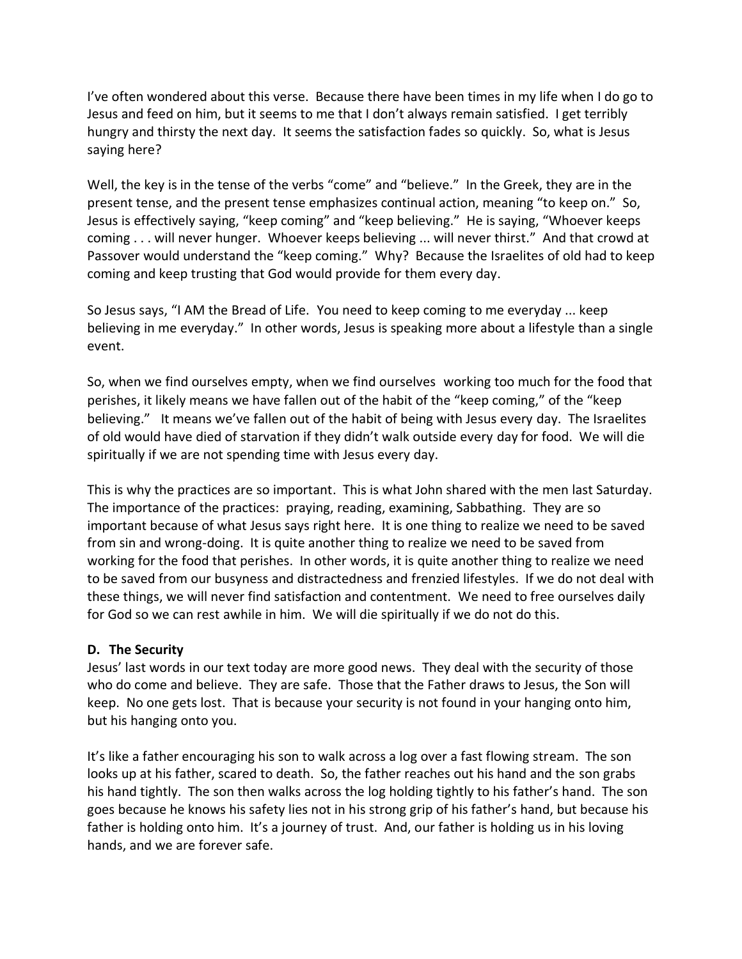I've often wondered about this verse. Because there have been times in my life when I do go to Jesus and feed on him, but it seems to me that I don't always remain satisfied. I get terribly hungry and thirsty the next day. It seems the satisfaction fades so quickly. So, what is Jesus saying here?

Well, the key is in the tense of the verbs "come" and "believe." In the Greek, they are in the present tense, and the present tense emphasizes continual action, meaning "to keep on." So, Jesus is effectively saying, "keep coming" and "keep believing." He is saying, "Whoever keeps coming . . . will never hunger. Whoever keeps believing ... will never thirst." And that crowd at Passover would understand the "keep coming." Why? Because the Israelites of old had to keep coming and keep trusting that God would provide for them every day.

So Jesus says, "I AM the Bread of Life. You need to keep coming to me everyday ... keep believing in me everyday." In other words, Jesus is speaking more about a lifestyle than a single event.

So, when we find ourselves empty, when we find ourselves working too much for the food that perishes, it likely means we have fallen out of the habit of the "keep coming," of the "keep believing." It means we've fallen out of the habit of being with Jesus every day. The Israelites of old would have died of starvation if they didn't walk outside every day for food. We will die spiritually if we are not spending time with Jesus every day.

This is why the practices are so important. This is what John shared with the men last Saturday. The importance of the practices: praying, reading, examining, Sabbathing. They are so important because of what Jesus says right here. It is one thing to realize we need to be saved from sin and wrong-doing. It is quite another thing to realize we need to be saved from working for the food that perishes. In other words, it is quite another thing to realize we need to be saved from our busyness and distractedness and frenzied lifestyles. If we do not deal with these things, we will never find satisfaction and contentment. We need to free ourselves daily for God so we can rest awhile in him. We will die spiritually if we do not do this.

#### **D. The Security**

Jesus' last words in our text today are more good news. They deal with the security of those who do come and believe. They are safe. Those that the Father draws to Jesus, the Son will keep. No one gets lost. That is because your security is not found in your hanging onto him, but his hanging onto you.

It's like a father encouraging his son to walk across a log over a fast flowing stream. The son looks up at his father, scared to death. So, the father reaches out his hand and the son grabs his hand tightly. The son then walks across the log holding tightly to his father's hand. The son goes because he knows his safety lies not in his strong grip of his father's hand, but because his father is holding onto him. It's a journey of trust. And, our father is holding us in his loving hands, and we are forever safe.